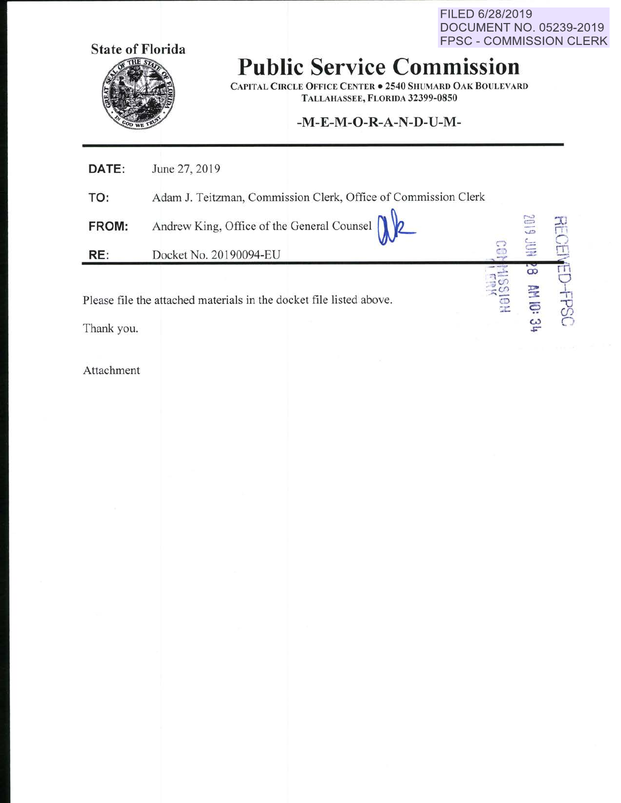FILED 6/28/2019 **DOCUMENT NO. 05239-2019** FPSC - COMMISSION CLERK



# **Public Service Commission**

**CAPITAL CIRCLE OFFICE CENTER . 2540 SHUMARD OAK BOULEVARD** TALLAHASSEE, FLORIDA 32399-0850

## -M-E-M-O-R-A-N-D-U-M-

|  | DATE: | June 27, 2019 |
|--|-------|---------------|
|--|-------|---------------|

Adam J. Teitzman, Commission Clerk, Office of Commission Clerk TO:

| FROM:                                                               | Andrew King, Office of the General Counsel | T |  |
|---------------------------------------------------------------------|--------------------------------------------|---|--|
| RE:                                                                 | Docket No. 20190094-EU                     |   |  |
|                                                                     |                                            |   |  |
| Please file the attached materials in the docket file listed above. |                                            |   |  |
| Thank you.                                                          |                                            |   |  |

Attachment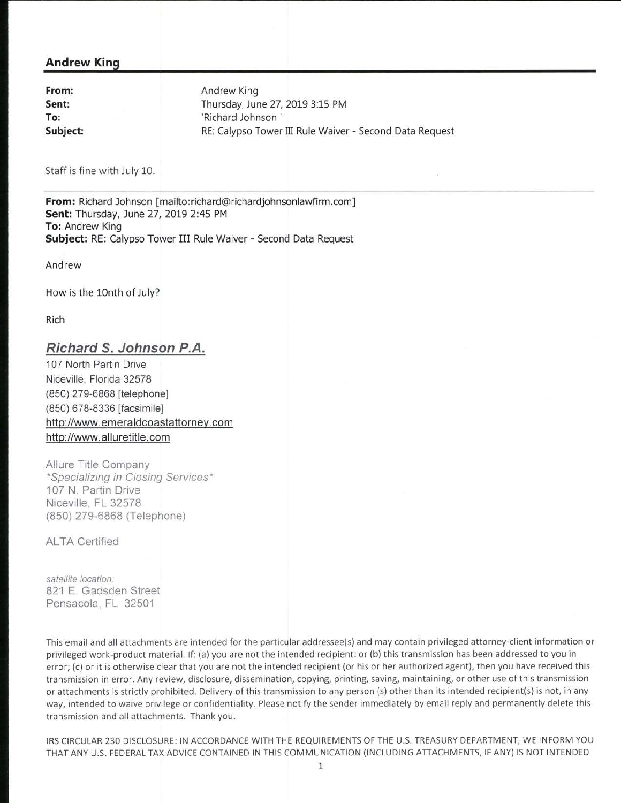#### **Andrew King**

**From: Sent: To: Subject:**  Andrew King Thursday, June 27, 2019 3:15 PM 'Richard Johnson ' RE: Calypso Tower III Rule Waiver - Second Data Request

Staff is fine with July 10.

**From:** Richard Johnson [mailto:richard@richardjohnsonlawfirm.com] **Sent:** Thursday, June 27, 2019 2:45 PM **To:** Andrew King **Subject:** RE: Calypso Tower III Rule Waiver- Second Data Request

Andrew

How is the lOnth of July?

Rich

### **Richard S. Johnson P.A.**

107 North Partin Drive Niceville, Florida 32578 (850) 279-6868 [telephone] (850) 678-8336 [facsimile] http://www.emeraldcoastattorney.com http://www.alluretitle.com

Allure Title Company \*Specializing in Closing Services\* 107 N. Partin Drive Niceville, FL 32578 (850) 279-6868 (Telephone)

ALTA Certified

satellite location: 821 E. Gadsden Street Pensacola, FL 32501

This email and all attachments are intended for the particular addressee(s) and may contain privileged attorney-client information or privileged work-product material. If: (a) you are not the intended recipient: or (b) this transmission has been addressed to you in error; (c) or it is otherwise clear that you are not the intended recipient (or his or her authorized agent), then you have received this transmission in error. Any review, disclosure, dissemination, copying, printing, saving, maintaining, or other use of this transmission or attachments is strictly prohibited. Delivery of this transmission to any person (s) other than its intended recipient(s) is not, in any way, intended to waive privilege or confidentiality. Please notify the sender immediately by email reply and permanently delete this transmission and all attachments. Thank you.

IRS CIRCULAR 230 DISCLOSURE: IN ACCORDANCE WITH THE REQUIREMENTS OF THE U.S. TREASURY DEPARTMENT, WE INFORM YOU THAT ANY U.S. FEDERAL TAX ADVICE CONTAINED IN THIS COMMUNICATION (INCLUDING ATTACHMENTS, IF ANY) IS NOT INTENDED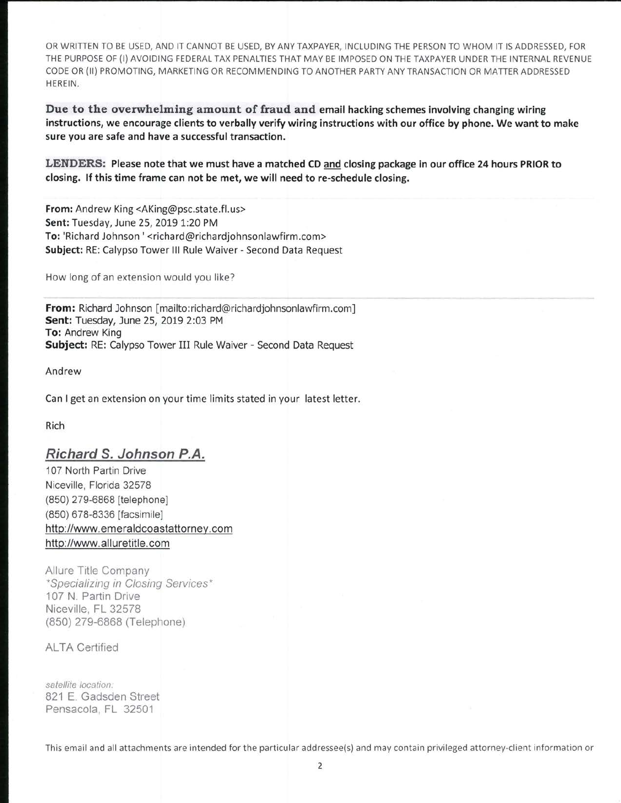OR WRITTEN TO BE USED, AND IT CANNOT BE USED, BY ANY TAXPAYER, INCLUDING THE PERSON TO WHOM IT IS ADDRESSED, FOR THE PURPOSE OF (I) AVOIDING FEDERAL TAX PENALTIES THAT MAY BE IMPOSED ON THE TAXPAYER UNDER THE INTERNAL REVENUE CODE OR {II) PROMOTING, MARKETING OR RECOMMENDING TO ANOTHER PARTY ANY TRANSACTION OR MATTER ADDRESSED HEREIN.

Due to the overwhelming amount of fraud and email hacking schemes involving changing wiring instructions, we encourage clients to verbally verify wiring instructions with our office by phone. We want to make sure you are safe and have a successful transaction.

LENDERS: Please note that we must have a matched CD and closing package in our office 24 hours PRIOR to closing. If this time frame can not be met, we will need to re-schedule closing.

From: Andrew King <AKing@psc.state.fl.us> Sent: Tuesday, June 25, 2019 1:20PM To: 'Richard Johnson' <richard@richardjohnsonlawfirm.com> Subject: RE: Calypso Tower Ill Rule Waiver- Second Data Request

How long of an extension would you like?

From: Richard Johnson [mailto:richard@richardjohnsonlawfirm.com] Sent: Tuesday, June 25, 2019 2:03 PM **To: Andrew King** Subject: RE: Calypso Tower III Rule Waiver - Second Data Request

Andrew

Can I get an extension on your time limits stated in your latest letter.

Rich

### Richard S. Johnson P.A.

107 North Partin Drive Niceville, Florida 32578 (850) 279-6868 [telephone] (850) 678-8336 [facsimile] http://www.emeraldcoastattorney.com http://www. alluretitle. com

Allure Title Company \*Specializing in Closing Services\* 107 N. Partin Drive Niceville, FL 32578 (850) 279-6868 (Telephone)

**ALTA Certified** 

satellite location: 821 E. Gadsden Street Pensacola, FL 32501

This email and all attachments are intended for the particular addressee(s) and may contain privileged attorney-client information or